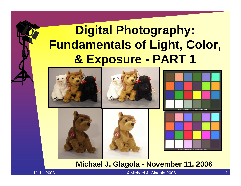### **Digital Photography: Fundamentals of Light, Color, & Exposure - PART 1**







#### **Michael J. Glagola - November 11, 2006**

11-11-2006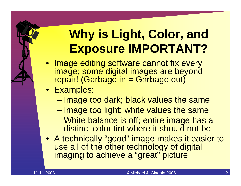### **Why is Light, Color, and Exposure IMPORTANT?**

- Image editing software cannot fix every image; some digital images are beyond repair! (Garbage in = Garbage out)
- Examples:
	- and the state of the state – Image too dark; black values the same
	- and the state of the state – Image too light; white values the same
	- – White balance is off; entire image has a distinct color tint where it should not be
- A technically "good" image makes it easier to use all of the other technology of digital imaging to achieve a "great" picture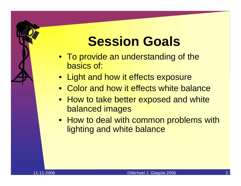# **Session Goals**

- To provide an understanding of the basics of:
- Light and how it effects exposure
- Color and how it effects white balance
- How to take better exposed and white balanced images
- How to deal with common problems with lighting and white balance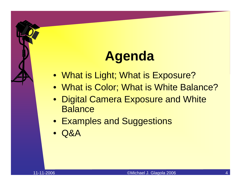# **Agenda**

- What is Light; What is Exposure?
- What is Color; What is White Balance?
- Digital Camera Exposure and White **Balance**
- Examples and Suggestions
- $\bullet$ Q&A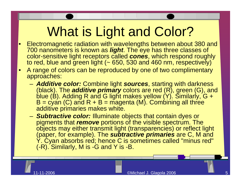# What is Light and Color?

- • Electromagnetic radiation with wavelengths between about 380 and 700 nanometers is known as *light*. The eye has three classes of color-sensitive light receptors called *cones*, which respond roughly to red, blue and green light (~ 650, 530 and 460 nm, respectively)
- • A range of colors can be reproduced by one of two complimentary approaches:
	- – *Additive color:* Combine light *sources*, starting with darkness (black). The *additive primary* colors are red (R), green (G), and blue (B). Adding R and G light makes yellow (Y). Similarly, G +  $\mathsf{B}=$  cyan (C) and R + B = magenta (M). Combining all three additive primaries makes white.
	- – *Subtractive color:* Illuminate objects that contain dyes or pigments that *remove* portions of the visible spectrum. The objects may either transmit light (transparencies) or reflect light (paper, for example). The *subtractive primaries* are C, M and Y. Cyan absorbs red; hence C is sometimes called "minus red" (-R). Similarly, M is -G and Y is -B.

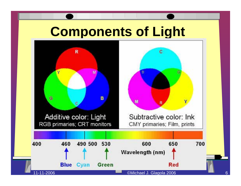#### **Components of Light**

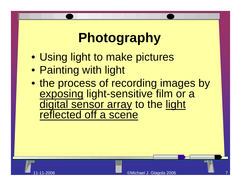# **Photography**

- Using light to make pictures
- Painting with light
- the process of recording images by exposing light-sensitive film or a digital sensor array to the light reflected off a scene

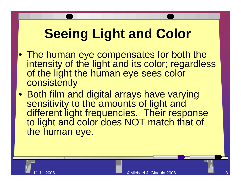# **Seeing Light and Color**

- The human eye compensates for both the intensity of the light and its color; regardless of the light the human eye sees color consistently
- Both film and digital arrays have varying sensitivity to the amounts of light and different light frequencies. Their response to light and color does NOT match that of the human eye.

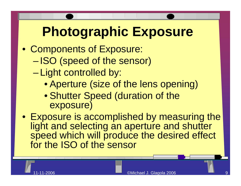## **Photographic Exposure**

- Components of Exposure:
	- – $-$ ISO (speed of the sensor)
	- – Light controlled by:
		- Aperture (size of the lens opening)
		- Shutter Speed (duration of the exposure)
- Exposure is accomplished by measuring the light and selecting an aperture and shutter speed which will produce the desired effect for the ISO of the sensor

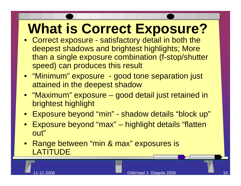# **What is Correct Exposure?**

- Correct exposure satisfactory detail in both the deepest shadows and brightest highlights; More than a single exposure combination (f-stop/shutter speed) can produces this result
- "Minimum" exposure good tone separation just attained in the deepest shadow
- "Maximum" exposure good detail just retained in brightest highlight
- Exposure beyond "min" shadow details "block up"
- $\bullet$  Exposure beyond "max" – highlight details "flatten out"
- Range between "min & max" exposures is **LATITUDE**

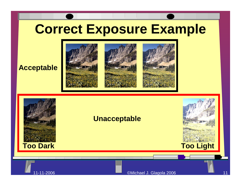# **Correct Exposure Example**

#### **Acceptable**





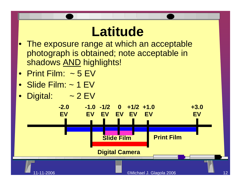### **Latitude**

- $\bullet$  The exposure range at which an acceptable photograph is obtained; note acceptable in shadows <u>AND</u> highlights!
- Print Film: ~ 5 EV
- Slide Film: ~ 1 EV
- •Digital:  $\sim$  2 EV

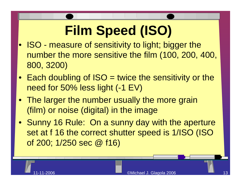# **Film Speed (ISO)**

- ISO measure of sensitivity to light; bigger the number the more sensitive the film (100, 200, 400, 800, 3200)
- Each doubling of ISO = twice the sensitivity or the need for 50% less light (-1 EV)
- The larger the number usually the more grain (film) or noise (digital) in the image
- Sunny 16 Rule: On a sunny day with the aperture set at f 16 the correct shutter speed is 1/ISO (ISO of 200; 1/250 sec @ f16)

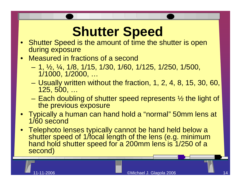## **Shutter Speed**

- Shutter Speed is the amount of time the shutter is open during exposure
- $\bullet$  Measured in fractions of a second
	- and the state of the state 1, ½, ¼, 1/8, 1/15, 1/30, 1/60, 1/125, 1/250, 1/500, 1/1000, 1/2000, …
	- and the state of the state  $-$  Usually written without the fraction, 1, 2, 4, 8, 15, 30, 60,  $\mid$ 125, 500, …
	- and the state of the state – Each doubling of shutter speed represents  $\frac{1}{2}$  the light of the previous exposure
- Typically a human can hand hold a "normal" 50mm lens at 1/60 second
- Telephoto lenses typically cannot be hand held below a shutter speed of 1/focal length of the lens (e.g. minimum hand hold shutter speed for a 200mm lens is 1/250 of a second)

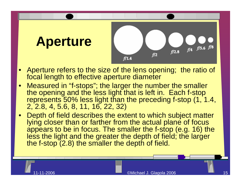

- • Aperture refers to the size of the lens opening; the ratio of focal length to effective aperture diameter
- • Measured in "f-stops"; the larger the number the smaller the opening and the less light that is left in. Each f-stop represents 50% less light than the preceding f-stop (1, 1.4, 2, 2.8, 4, 5.6, 8, 11, 16, 22, 32)
- • Depth of field describes the extent to which subject matter lying closer than or farther from the actual plane of focus appears to be in focus. The smaller the f-stop (e.g. 16) the less the light and the greater the depth of field; the larger the f-stop (2.8) the smaller the depth of field.

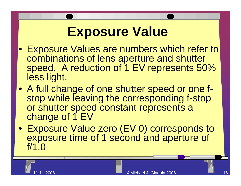## **Exposure Value**

- Exposure Values are numbers which refer to combinations of lens aperture and shutter speed. A reduction of 1 EV represents 50% less light.
- A full change of one shutter speed or one fstop while leaving the corresponding f-stop or shutter speed constant represents a change of 1 EV
- Exposure Value zero (EV 0) corresponds to exposure time of 1 second and aperture of f/1.0

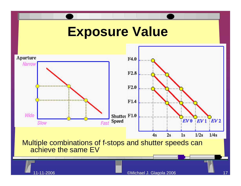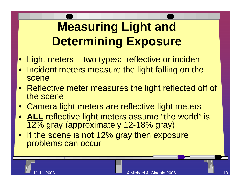# **Measuring Light and Determining Exposure**

- Light meters two types: reflective or incident
- Incident meters measure the light falling on the scene
- Reflective meter measures the light reflected off of the scene
- Camera light meters are reflective light meters
- **ALL** reflective light meters assume "the world" is 12% gray (approximately 12-18% gray)
- If the scene is not 12% gray then exposure problems can occur

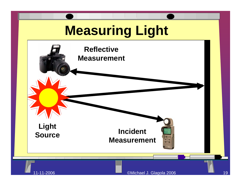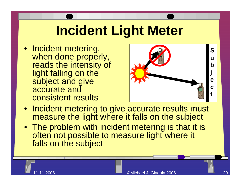# **Incident Light Meter**

• Incident metering, when done properly, reads the intensity of light falling on the subject and give accurate and consistent results



- Incident metering to give accurate results must measure the light where it falls on the subject
- The problem with incident metering is that it is often not possible to measure light where it falls on the subject

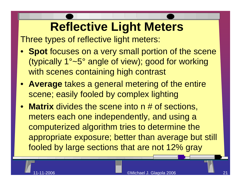## **Reflective Light Meters**

Three types of reflective light meters:

- **Spot** focuses on a very small portion of the scene (typically 1°~5° angle of view); good for working with scenes containing high contrast
- **Average** takes a general metering of the entire scene; easily fooled by complex lighting
- **Matrix** divides the scene into n # of sections, meters each one independently, and using a computerized algorithm tries to determine the appropriate exposure; better than average but still fooled by large sections that are not 12% gray

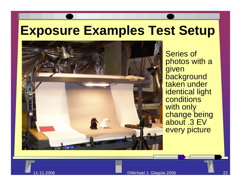#### **Exposure Examples Test Setup**



 Series of photos with a given **background** taken under identical light **conditions** with only change being about .3 EV every picture

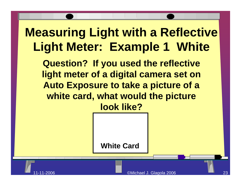#### **Measuring Light with a Reflective Light Meter: Example 1 White**

**Question? If you used the reflective light meter of a digital camera set on Auto Exposure to take a picture of a white card, what would the picture look like?**

**White Card**

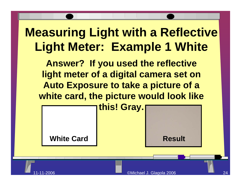#### **Measuring Light with a Reflective Light Meter: Example 1 White**

**Answer? If you used the reflective light meter of a digital camera set on Auto Exposure to take a picture of a white card, the picture would look like** 



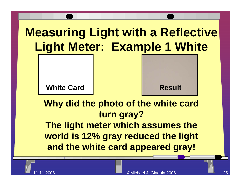#### **Measuring Light with a Reflective Light Meter: Example 1 White**

**White Card**

**Result**

**Why did the photo of the white card turn gray? The light meter which assumes the world is 12% gray reduced the light and the white card appeared gray!**

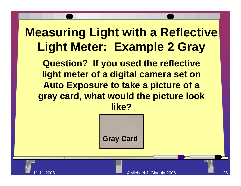#### **Measuring Light with a Reflective Light Meter: Example 2 Gray**

**Question? If you used the reflective light meter of a digital camera set on Auto Exposure to take a picture of a gray card, what would the picture look like?**



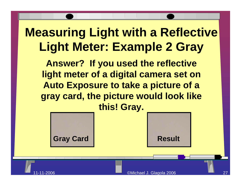#### **Measuring Light with a Reflective Light Meter: Example 2 Gray**

**Answer? If you used the reflective light meter of a digital camera set on Auto Exposure to take a picture of a gray card, the picture would look like this! Gray.**





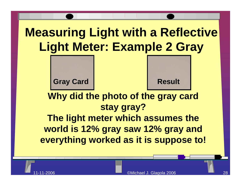#### **Measuring Light with a Reflective Light Meter: Example 2 Gray**





#### **Why did the photo of the gray card stay gray? The light meter which assumes the world is 12% gray saw 12% gray and everything worked as it is suppose to!**

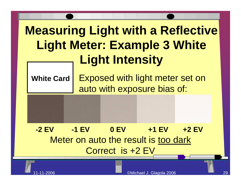## **Measuring Light with a Reflective Light Meter: Example 3 White Light Intensity**

**White Card** Exposed with light meter set on auto with exposure bias of:

#### Meter on auto the result is too dark Correct is +2 EV **-2 EV-1 EV 0 EV +1 EV +2 EV**

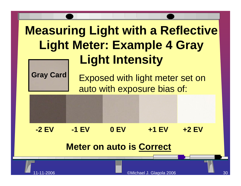## **Measuring Light with a Reflective Light Meter: Example 4 Gray Light Intensity**



Gray Card Exposed with light meter set on auto with exposure bias of:

**-2 EV-1 EV 0 EV +1 EV +2 EV**

#### **Meter on auto is Correct**

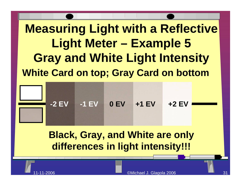### **Measuring Light with a Reflective Light Meter – Example 5 Gray and White Light Intensity White Card on top; Gray Card on bottom**



#### **Black, Gray, and White are only differences in light intensity!!!**

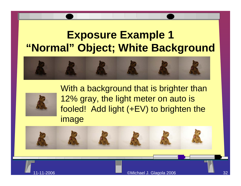#### **Exposure Example 1 "Normal" Object; White Background**





With a background that is brighter than 12% gray, the light meter on auto is fooled! Add light (+EV) to brighten the image



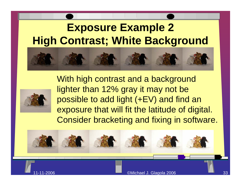#### **Exposure Example 2 High Contrast; White Background**





With high contrast and a background lighter than 12% gray it may not be possible to add light (+EV) and find an exposure that will fit the latitude of digital. Consider bracketing and fixing in software.

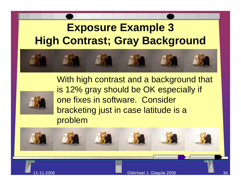#### **Exposure Example 3 High Contrast; Gray Background**





11-11-2006

With high contrast and a background that is 12% gray should be OK especially if one fixes in software. Consider bracketing just in case latitude is a problem

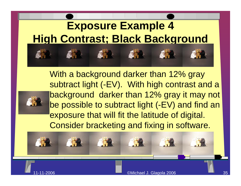

With a background darker than 12% gray subtract light (-EV). With high contrast and a background darker than 12% gray it may not be possible to subtract light (-EV) and find an exposure that will fit the latitude of digital. Consider bracketing and fixing in software.

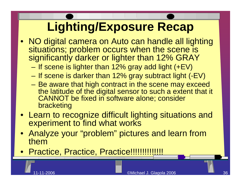# **Lighting/Exposure Recap**

- NO digital camera on Auto can handle all lighting situations; problem occurs when the scene is significantly darker or lighter than 12% GRAY
	- **Harry Committee**  $-$  If scene is lighter than 12% gray add light (+EV)
	- – $-$  If scene is darker than 12% gray subtract light (-EV)
	- and the state of the state – Be aware that high contract in the scene may exceed the latitude of the digital sensor to such a extent that it CANNOT be fixed in software alone; consider bracketing
- Learn to recognize difficult lighting situations and experiment to find what works
- Analyze your "problem" pictures and learn from them
- Practice, Practice, Practice!!!!!!!!!!!!!!!

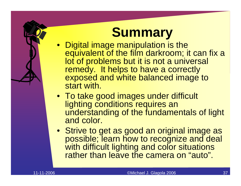# **Summary**

- Digital image manipulation is the equivalent of the film darkroom; it can fix a lot of problems but it is not a universal remedy. It helps to have a correctly exposed and white balanced image to start with.
- To take good images under difficult lighting conditions requires an understanding of the fundamentals of light and color.
- Strive to get as good an original image as possible; learn how to recognize and deal with difficult lighting and color situations rather than leave the camera on "auto".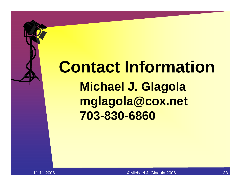# **Contact Information Michael J. Glagola mglagola@cox.net 703-830-6860**